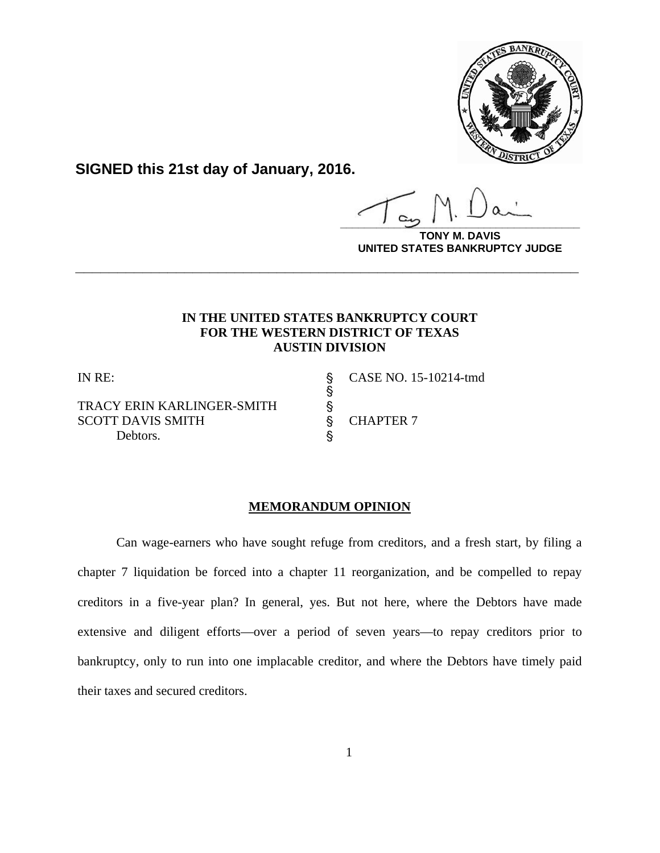

**SIGNED this 21st day of January, 2016.**

**\_\_\_\_\_\_\_\_\_\_\_\_\_\_\_\_\_\_\_\_\_\_\_\_\_\_\_\_\_\_\_\_\_\_\_\_\_\_\_\_**

**TONY M. DAVIS UNITED STATES BANKRUPTCY JUDGE**

## **IN THE UNITED STATES BANKRUPTCY COURT FOR THE WESTERN DISTRICT OF TEXAS AUSTIN DIVISION**

**\_\_\_\_\_\_\_\_\_\_\_\_\_\_\_\_\_\_\_\_\_\_\_\_\_\_\_\_\_\_\_\_\_\_\_\_\_\_\_\_\_\_\_\_\_\_\_\_\_\_\_\_\_\_\_\_\_\_\_\_**

 $\S$ 

TRACY ERIN KARLINGER-SMITH \$<br>SCOTT DAVIS SMITH \$ SCOTT DAVIS SMITH S CHAPTER 7 Debtors.  $\S$ 

IN RE: ' CASE NO. 15-10214-tmd

## **MEMORANDUM OPINION**

Can wage-earners who have sought refuge from creditors, and a fresh start, by filing a chapter 7 liquidation be forced into a chapter 11 reorganization, and be compelled to repay creditors in a five-year plan? In general, yes. But not here, where the Debtors have made extensive and diligent efforts—over a period of seven years—to repay creditors prior to bankruptcy, only to run into one implacable creditor, and where the Debtors have timely paid their taxes and secured creditors.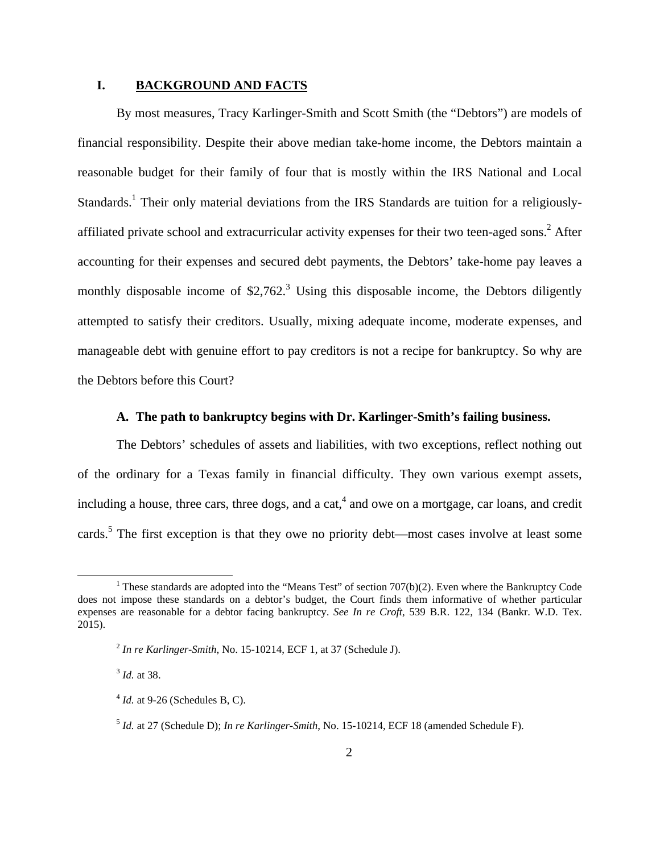### **I. BACKGROUND AND FACTS**

By most measures, Tracy Karlinger-Smith and Scott Smith (the "Debtors") are models of financial responsibility. Despite their above median take-home income, the Debtors maintain a reasonable budget for their family of four that is mostly within the IRS National and Local Standards.<sup>1</sup> Their only material deviations from the IRS Standards are tuition for a religiouslyaffiliated private school and extracurricular activity expenses for their two teen-aged sons.<sup>2</sup> After accounting for their expenses and secured debt payments, the Debtors' take-home pay leaves a monthly disposable income of  $$2,762$ <sup>3</sup> Using this disposable income, the Debtors diligently attempted to satisfy their creditors. Usually, mixing adequate income, moderate expenses, and manageable debt with genuine effort to pay creditors is not a recipe for bankruptcy. So why are the Debtors before this Court?

### **A. The path to bankruptcy begins with Dr. Karlinger-Smith's failing business.**

The Debtors' schedules of assets and liabilities, with two exceptions, reflect nothing out of the ordinary for a Texas family in financial difficulty. They own various exempt assets, including a house, three cars, three dogs, and a cat,<sup>4</sup> and owe on a mortgage, car loans, and credit cards.<sup>5</sup> The first exception is that they owe no priority debt—most cases involve at least some

 <sup>1</sup> These standards are adopted into the "Means Test" of section 707(b)(2). Even where the Bankruptcy Code does not impose these standards on a debtor's budget, the Court finds them informative of whether particular expenses are reasonable for a debtor facing bankruptcy. *See In re Croft*, 539 B.R. 122, 134 (Bankr. W.D. Tex. 2015).

 $^{2}$  *In re Karlinger-Smith*, No. 15-10214, ECF 1, at 37 (Schedule J).

<sup>3</sup> *Id.* at 38.

 $4$  *Id.* at 9-26 (Schedules B, C).

<sup>5</sup> *Id.* at 27 (Schedule D); *In re Karlinger-Smith*, No. 15-10214, ECF 18 (amended Schedule F).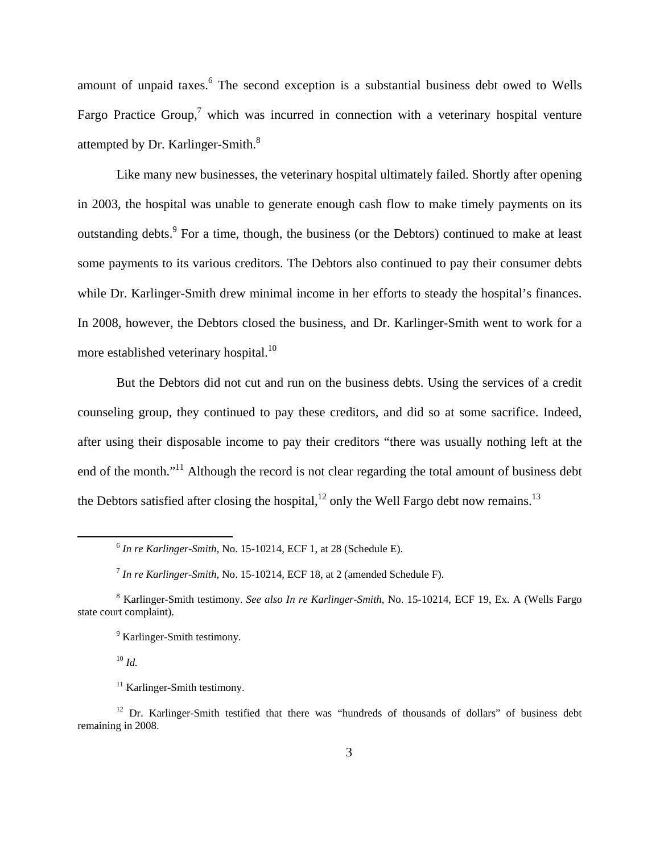amount of unpaid taxes.<sup>6</sup> The second exception is a substantial business debt owed to Wells Fargo Practice Group,<sup>7</sup> which was incurred in connection with a veterinary hospital venture attempted by Dr. Karlinger-Smith.<sup>8</sup>

Like many new businesses, the veterinary hospital ultimately failed. Shortly after opening in 2003, the hospital was unable to generate enough cash flow to make timely payments on its outstanding debts.<sup>9</sup> For a time, though, the business (or the Debtors) continued to make at least some payments to its various creditors. The Debtors also continued to pay their consumer debts while Dr. Karlinger-Smith drew minimal income in her efforts to steady the hospital's finances. In 2008, however, the Debtors closed the business, and Dr. Karlinger-Smith went to work for a more established veterinary hospital.<sup>10</sup>

But the Debtors did not cut and run on the business debts. Using the services of a credit counseling group, they continued to pay these creditors, and did so at some sacrifice. Indeed, after using their disposable income to pay their creditors "there was usually nothing left at the end of the month."<sup>11</sup> Although the record is not clear regarding the total amount of business debt the Debtors satisfied after closing the hospital,<sup>12</sup> only the Well Fargo debt now remains.<sup>13</sup>

<sup>10</sup> *Id.*

 <sup>6</sup> *In re Karlinger-Smith,* No. 15-10214, ECF 1, at 28 (Schedule E).

<sup>7</sup> *In re Karlinger-Smith*, No. 15-10214, ECF 18, at 2 (amended Schedule F).

<sup>8</sup> Karlinger-Smith testimony. *See also In re Karlinger-Smith*, No. 15-10214, ECF 19, Ex. A (Wells Fargo state court complaint).

<sup>&</sup>lt;sup>9</sup> Karlinger-Smith testimony.

<sup>&</sup>lt;sup>11</sup> Karlinger-Smith testimony.

<sup>&</sup>lt;sup>12</sup> Dr. Karlinger-Smith testified that there was "hundreds of thousands of dollars" of business debt remaining in 2008.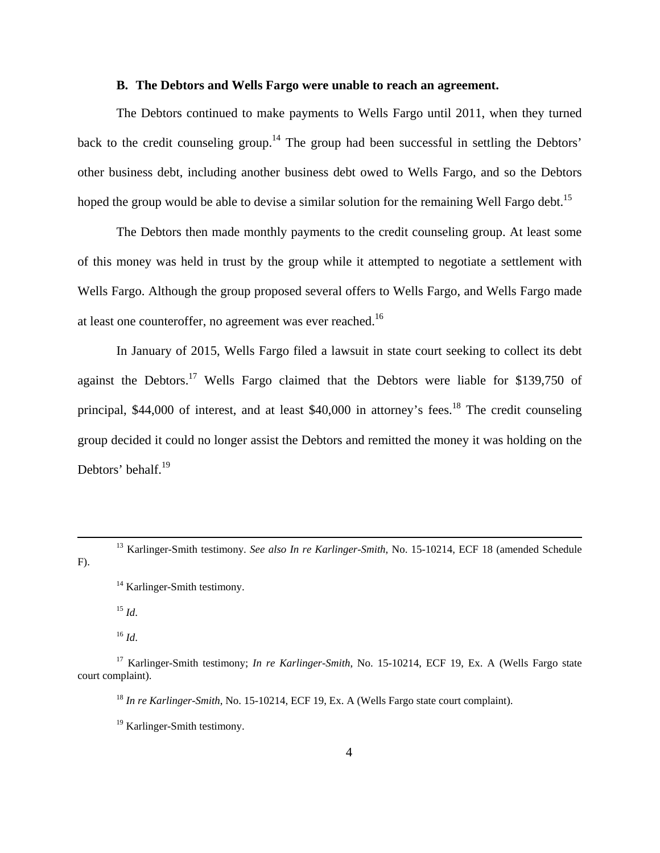#### **B. The Debtors and Wells Fargo were unable to reach an agreement.**

The Debtors continued to make payments to Wells Fargo until 2011, when they turned back to the credit counseling group.<sup>14</sup> The group had been successful in settling the Debtors' other business debt, including another business debt owed to Wells Fargo, and so the Debtors hoped the group would be able to devise a similar solution for the remaining Well Fargo debt.<sup>15</sup>

The Debtors then made monthly payments to the credit counseling group. At least some of this money was held in trust by the group while it attempted to negotiate a settlement with Wells Fargo. Although the group proposed several offers to Wells Fargo, and Wells Fargo made at least one counteroffer, no agreement was ever reached.<sup>16</sup>

In January of 2015, Wells Fargo filed a lawsuit in state court seeking to collect its debt against the Debtors.<sup>17</sup> Wells Fargo claimed that the Debtors were liable for \$139,750 of principal,  $$44,000$  of interest, and at least  $$40,000$  in attorney's fees.<sup>18</sup> The credit counseling group decided it could no longer assist the Debtors and remitted the money it was holding on the Debtors' behalf.<sup>19</sup>

<sup>15</sup> *Id*.

<sup>16</sup> *Id*.

<sup>&</sup>lt;sup>13</sup> Karlinger-Smith testimony. *See also In re Karlinger-Smith*, No. 15-10214, ECF 18 (amended Schedule F).

<sup>&</sup>lt;sup>14</sup> Karlinger-Smith testimony.

<sup>17</sup> Karlinger-Smith testimony; *In re Karlinger-Smith*, No. 15-10214, ECF 19, Ex. A (Wells Fargo state court complaint).

<sup>&</sup>lt;sup>18</sup> *In re Karlinger-Smith*, No. 15-10214, ECF 19, Ex. A (Wells Fargo state court complaint).

<sup>&</sup>lt;sup>19</sup> Karlinger-Smith testimony.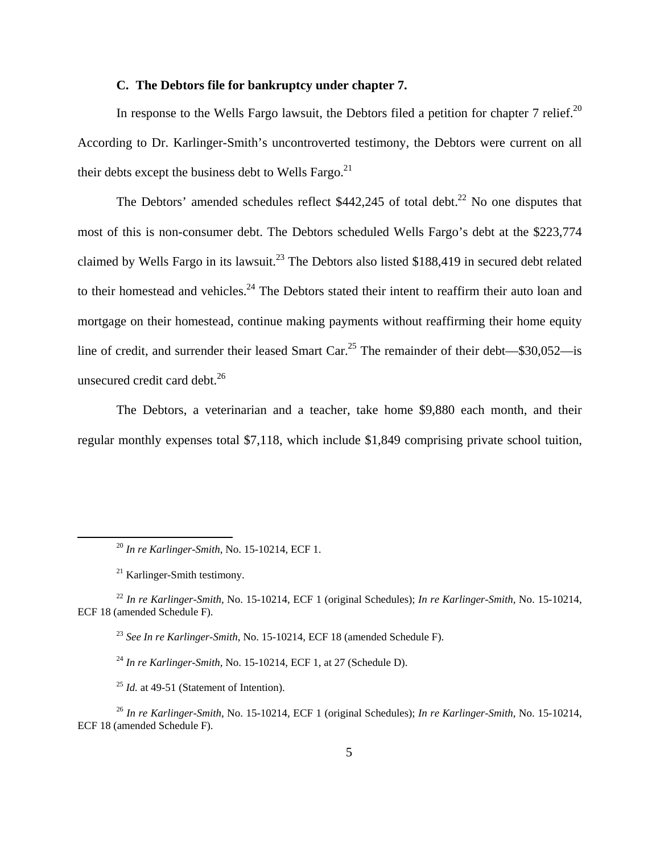### **C. The Debtors file for bankruptcy under chapter 7.**

In response to the Wells Fargo lawsuit, the Debtors filed a petition for chapter 7 relief.<sup>20</sup> According to Dr. Karlinger-Smith's uncontroverted testimony, the Debtors were current on all their debts except the business debt to Wells Fargo. $^{21}$ 

The Debtors' amended schedules reflect  $$442,245$  of total debt.<sup>22</sup> No one disputes that most of this is non-consumer debt. The Debtors scheduled Wells Fargo's debt at the \$223,774 claimed by Wells Fargo in its lawsuit.<sup>23</sup> The Debtors also listed \$188,419 in secured debt related to their homestead and vehicles.<sup>24</sup> The Debtors stated their intent to reaffirm their auto loan and mortgage on their homestead, continue making payments without reaffirming their home equity line of credit, and surrender their leased Smart Car.<sup>25</sup> The remainder of their debt— $\$30,052$ —is unsecured credit card debt. $^{26}$ 

The Debtors, a veterinarian and a teacher, take home \$9,880 each month, and their regular monthly expenses total \$7,118, which include \$1,849 comprising private school tuition,

<sup>23</sup> *See In re Karlinger-Smith*, No. 15-10214, ECF 18 (amended Schedule F).

<sup>24</sup> *In re Karlinger-Smith*, No. 15-10214, ECF 1, at 27 (Schedule D).

<sup>25</sup> *Id.* at 49-51 (Statement of Intention).

 <sup>20</sup> *In re Karlinger-Smith*, No. 15-10214, ECF 1.

<sup>21</sup> Karlinger-Smith testimony.

<sup>22</sup> *In re Karlinger-Smith*, No. 15-10214, ECF 1 (original Schedules); *In re Karlinger-Smith*, No. 15-10214, ECF 18 (amended Schedule F).

<sup>26</sup> *In re Karlinger-Smith*, No. 15-10214, ECF 1 (original Schedules); *In re Karlinger-Smith*, No. 15-10214, ECF 18 (amended Schedule F).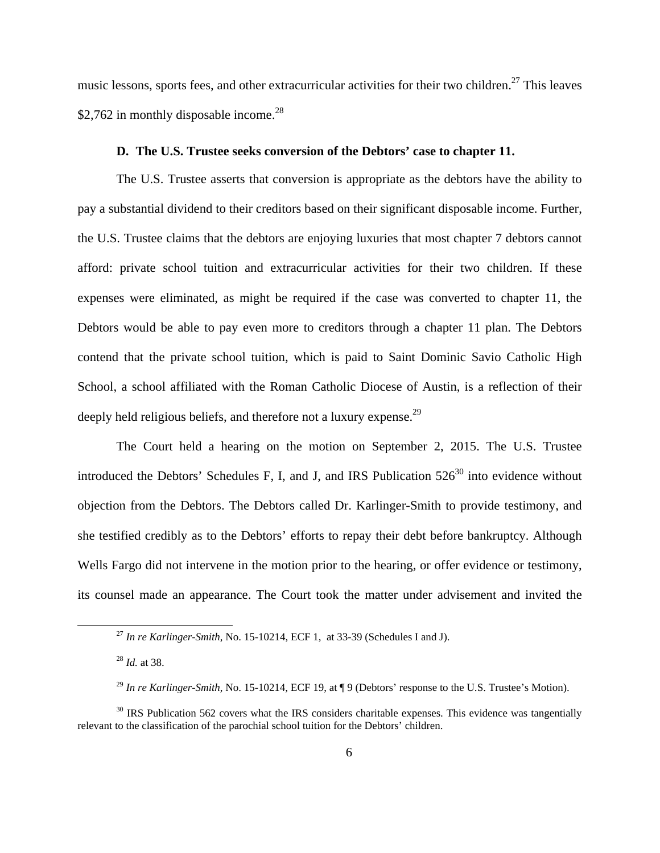music lessons, sports fees, and other extracurricular activities for their two children.<sup>27</sup> This leaves \$2,762 in monthly disposable income. $^{28}$ 

### **D. The U.S. Trustee seeks conversion of the Debtors' case to chapter 11.**

The U.S. Trustee asserts that conversion is appropriate as the debtors have the ability to pay a substantial dividend to their creditors based on their significant disposable income. Further, the U.S. Trustee claims that the debtors are enjoying luxuries that most chapter 7 debtors cannot afford: private school tuition and extracurricular activities for their two children. If these expenses were eliminated, as might be required if the case was converted to chapter 11, the Debtors would be able to pay even more to creditors through a chapter 11 plan. The Debtors contend that the private school tuition, which is paid to Saint Dominic Savio Catholic High School, a school affiliated with the Roman Catholic Diocese of Austin, is a reflection of their deeply held religious beliefs, and therefore not a luxury expense.<sup>29</sup>

The Court held a hearing on the motion on September 2, 2015. The U.S. Trustee introduced the Debtors' Schedules F, I, and J, and IRS Publication  $526^{30}$  into evidence without objection from the Debtors. The Debtors called Dr. Karlinger-Smith to provide testimony, and she testified credibly as to the Debtors' efforts to repay their debt before bankruptcy. Although Wells Fargo did not intervene in the motion prior to the hearing, or offer evidence or testimony, its counsel made an appearance. The Court took the matter under advisement and invited the

<sup>&</sup>lt;sup>27</sup> In re Karlinger-Smith, No. 15-10214, ECF 1, at 33-39 (Schedules I and J).

<sup>28</sup> *Id.* at 38.

<sup>&</sup>lt;sup>29</sup> In re Karlinger-Smith, No. 15-10214, ECF 19, at ¶ 9 (Debtors' response to the U.S. Trustee's Motion).

 $30$  IRS Publication 562 covers what the IRS considers charitable expenses. This evidence was tangentially relevant to the classification of the parochial school tuition for the Debtors' children.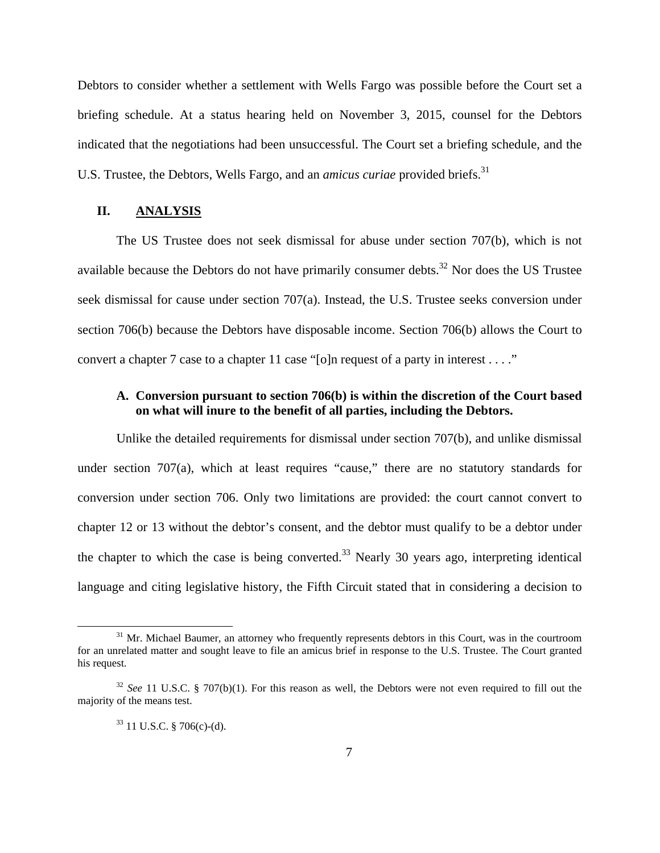Debtors to consider whether a settlement with Wells Fargo was possible before the Court set a briefing schedule. At a status hearing held on November 3, 2015, counsel for the Debtors indicated that the negotiations had been unsuccessful. The Court set a briefing schedule, and the U.S. Trustee, the Debtors, Wells Fargo, and an *amicus curiae* provided briefs.<sup>31</sup>

#### **II. ANALYSIS**

The US Trustee does not seek dismissal for abuse under section 707(b), which is not available because the Debtors do not have primarily consumer debts.<sup>32</sup> Nor does the US Trustee seek dismissal for cause under section 707(a). Instead, the U.S. Trustee seeks conversion under section 706(b) because the Debtors have disposable income. Section 706(b) allows the Court to convert a chapter 7 case to a chapter 11 case "[o]n request of a party in interest . . . ."

# **A. Conversion pursuant to section 706(b) is within the discretion of the Court based on what will inure to the benefit of all parties, including the Debtors.**

Unlike the detailed requirements for dismissal under section 707(b), and unlike dismissal under section 707(a), which at least requires "cause," there are no statutory standards for conversion under section 706. Only two limitations are provided: the court cannot convert to chapter 12 or 13 without the debtor's consent, and the debtor must qualify to be a debtor under the chapter to which the case is being converted.<sup>33</sup> Nearly 30 years ago, interpreting identical language and citing legislative history, the Fifth Circuit stated that in considering a decision to

<sup>&</sup>lt;sup>31</sup> Mr. Michael Baumer, an attorney who frequently represents debtors in this Court, was in the courtroom for an unrelated matter and sought leave to file an amicus brief in response to the U.S. Trustee. The Court granted his request.

<sup>&</sup>lt;sup>32</sup> See 11 U.S.C. § 707(b)(1). For this reason as well, the Debtors were not even required to fill out the majority of the means test.

 $33$  11 U.S.C. § 706(c)-(d).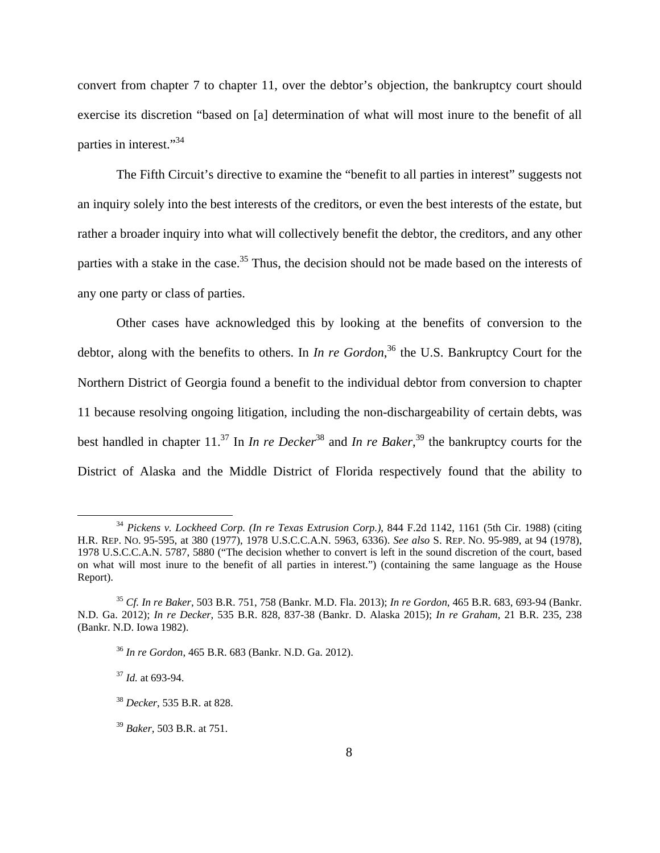convert from chapter 7 to chapter 11, over the debtor's objection, the bankruptcy court should exercise its discretion "based on [a] determination of what will most inure to the benefit of all parties in interest."34

The Fifth Circuit's directive to examine the "benefit to all parties in interest" suggests not an inquiry solely into the best interests of the creditors, or even the best interests of the estate, but rather a broader inquiry into what will collectively benefit the debtor, the creditors, and any other parties with a stake in the case.<sup>35</sup> Thus, the decision should not be made based on the interests of any one party or class of parties.

Other cases have acknowledged this by looking at the benefits of conversion to the debtor, along with the benefits to others. In *In re Gordon*, 36 the U.S. Bankruptcy Court for the Northern District of Georgia found a benefit to the individual debtor from conversion to chapter 11 because resolving ongoing litigation, including the non-dischargeability of certain debts, was best handled in chapter 11.<sup>37</sup> In *In re Decker*<sup>38</sup> and *In re Baker*,<sup>39</sup> the bankruptcy courts for the District of Alaska and the Middle District of Florida respectively found that the ability to

 <sup>34</sup> *Pickens v. Lockheed Corp. (In re Texas Extrusion Corp.)*, 844 F.2d 1142, 1161 (5th Cir. 1988) (citing H.R. REP. NO. 95-595, at 380 (1977), 1978 U.S.C.C.A.N. 5963, 6336). *See also* S. REP. NO. 95-989, at 94 (1978), 1978 U.S.C.C.A.N. 5787, 5880 ("The decision whether to convert is left in the sound discretion of the court, based on what will most inure to the benefit of all parties in interest.") (containing the same language as the House Report).

<sup>35</sup> *Cf. In re Baker*, 503 B.R. 751, 758 (Bankr. M.D. Fla. 2013); *In re Gordon*, 465 B.R. 683, 693-94 (Bankr. N.D. Ga. 2012); *In re Decker*, 535 B.R. 828, 837-38 (Bankr. D. Alaska 2015); *In re Graham*, 21 B.R. 235, 238 (Bankr. N.D. Iowa 1982).

<sup>36</sup> *In re Gordon*, 465 B.R. 683 (Bankr. N.D. Ga. 2012).

<sup>37</sup> *Id.* at 693-94.

<sup>38</sup> *Decker*, 535 B.R. at 828.

<sup>39</sup> *Baker*, 503 B.R. at 751.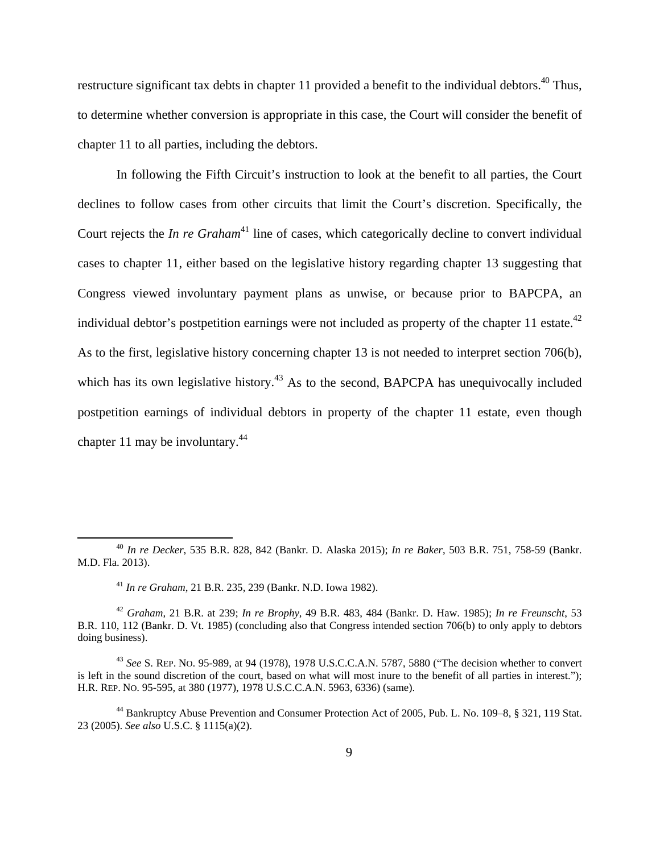restructure significant tax debts in chapter 11 provided a benefit to the individual debtors.<sup>40</sup> Thus, to determine whether conversion is appropriate in this case, the Court will consider the benefit of chapter 11 to all parties, including the debtors.

In following the Fifth Circuit's instruction to look at the benefit to all parties, the Court declines to follow cases from other circuits that limit the Court's discretion. Specifically, the Court rejects the *In re Graham*<sup>41</sup> line of cases, which categorically decline to convert individual cases to chapter 11, either based on the legislative history regarding chapter 13 suggesting that Congress viewed involuntary payment plans as unwise, or because prior to BAPCPA, an individual debtor's postpetition earnings were not included as property of the chapter 11 estate.<sup>42</sup> As to the first, legislative history concerning chapter 13 is not needed to interpret section 706(b), which has its own legislative history.<sup>43</sup> As to the second, BAPCPA has unequivocally included postpetition earnings of individual debtors in property of the chapter 11 estate, even though chapter 11 may be involuntary.44

 <sup>40</sup> *In re Decker*, 535 B.R. 828, 842 (Bankr. D. Alaska 2015); *In re Baker*, 503 B.R. 751, 758-59 (Bankr. M.D. Fla. 2013).

<sup>41</sup> *In re Graham*, 21 B.R. 235, 239 (Bankr. N.D. Iowa 1982).

<sup>42</sup> *Graham*, 21 B.R. at 239; *In re Brophy*, 49 B.R. 483, 484 (Bankr. D. Haw. 1985); *In re Freunscht*, 53 B.R. 110, 112 (Bankr. D. Vt. 1985) (concluding also that Congress intended section 706(b) to only apply to debtors doing business).

<sup>43</sup> *See* S. REP. NO. 95-989, at 94 (1978), 1978 U.S.C.C.A.N. 5787, 5880 ("The decision whether to convert is left in the sound discretion of the court, based on what will most inure to the benefit of all parties in interest."); H.R. REP. NO. 95-595, at 380 (1977), 1978 U.S.C.C.A.N. 5963, 6336) (same).

<sup>44</sup> Bankruptcy Abuse Prevention and Consumer Protection Act of 2005, Pub. L. No. 109–8, § 321, 119 Stat. 23 (2005). *See also* U.S.C. § 1115(a)(2).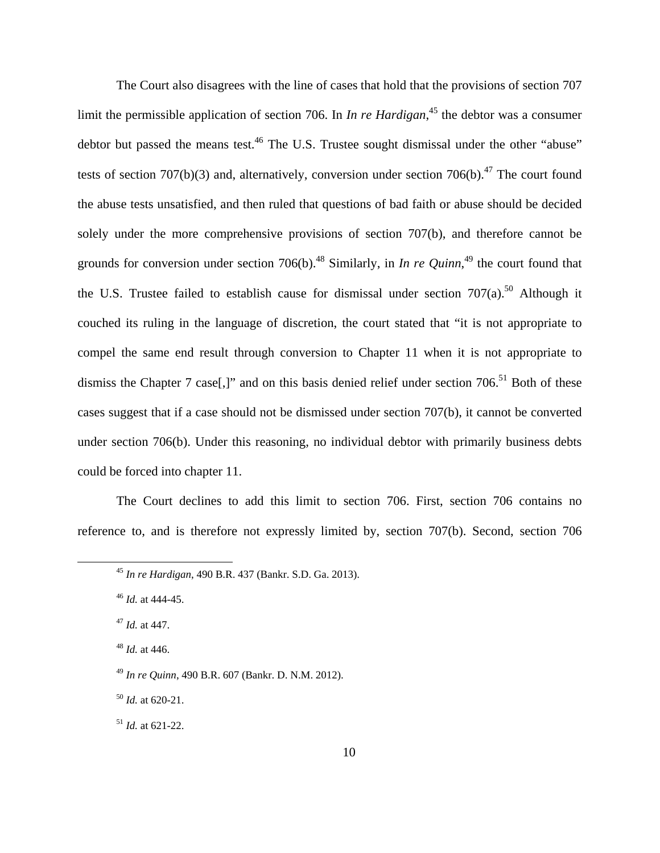The Court also disagrees with the line of cases that hold that the provisions of section 707 limit the permissible application of section 706. In *In re Hardigan*,<sup>45</sup> the debtor was a consumer debtor but passed the means test.<sup>46</sup> The U.S. Trustee sought dismissal under the other "abuse" tests of section 707(b)(3) and, alternatively, conversion under section 706(b).<sup>47</sup> The court found the abuse tests unsatisfied, and then ruled that questions of bad faith or abuse should be decided solely under the more comprehensive provisions of section 707(b), and therefore cannot be grounds for conversion under section 706(b).<sup>48</sup> Similarly, in *In re Quinn*,<sup>49</sup> the court found that the U.S. Trustee failed to establish cause for dismissal under section  $707(a)$ .<sup>50</sup> Although it couched its ruling in the language of discretion, the court stated that "it is not appropriate to compel the same end result through conversion to Chapter 11 when it is not appropriate to dismiss the Chapter 7 case<sup>[1]</sup>, and on this basis denied relief under section 706.<sup>51</sup> Both of these cases suggest that if a case should not be dismissed under section 707(b), it cannot be converted under section 706(b). Under this reasoning, no individual debtor with primarily business debts could be forced into chapter 11.

The Court declines to add this limit to section 706. First, section 706 contains no reference to, and is therefore not expressly limited by, section 707(b). Second, section 706

<sup>51</sup> *Id.* at 621-22.

 <sup>45</sup> *In re Hardigan*, 490 B.R. 437 (Bankr. S.D. Ga. 2013).

<sup>46</sup> *Id.* at 444-45.

<sup>47</sup> *Id.* at 447.

<sup>48</sup> *Id.* at 446.

<sup>49</sup> *In re Quinn*, 490 B.R. 607 (Bankr. D. N.M. 2012).

<sup>50</sup> *Id.* at 620-21.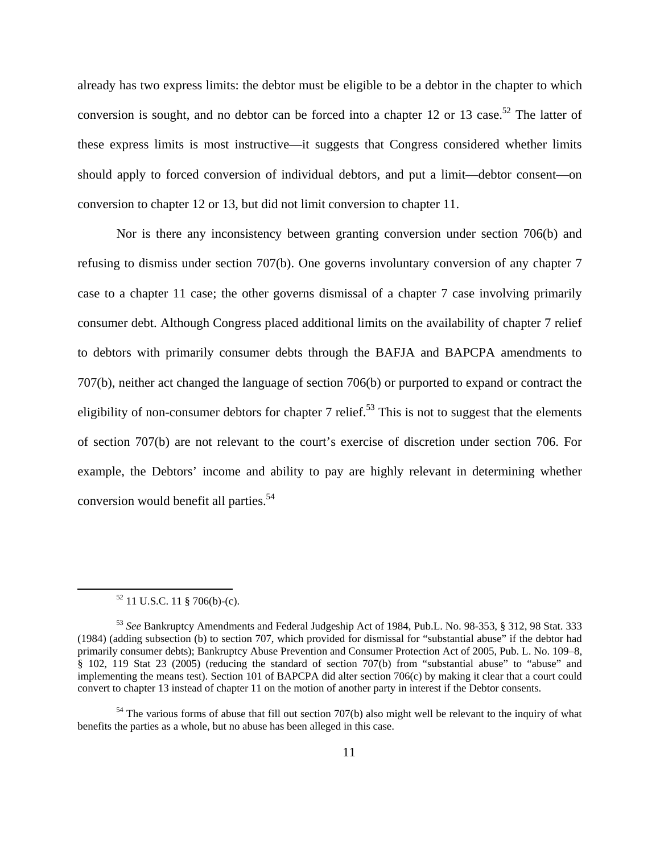already has two express limits: the debtor must be eligible to be a debtor in the chapter to which conversion is sought, and no debtor can be forced into a chapter 12 or 13 case.<sup>52</sup> The latter of these express limits is most instructive—it suggests that Congress considered whether limits should apply to forced conversion of individual debtors, and put a limit—debtor consent—on conversion to chapter 12 or 13, but did not limit conversion to chapter 11.

Nor is there any inconsistency between granting conversion under section 706(b) and refusing to dismiss under section 707(b). One governs involuntary conversion of any chapter 7 case to a chapter 11 case; the other governs dismissal of a chapter 7 case involving primarily consumer debt. Although Congress placed additional limits on the availability of chapter 7 relief to debtors with primarily consumer debts through the BAFJA and BAPCPA amendments to 707(b), neither act changed the language of section 706(b) or purported to expand or contract the eligibility of non-consumer debtors for chapter 7 relief.<sup>53</sup> This is not to suggest that the elements of section 707(b) are not relevant to the court's exercise of discretion under section 706. For example, the Debtors' income and ability to pay are highly relevant in determining whether conversion would benefit all parties.<sup>54</sup>

 $52$  11 U.S.C. 11 § 706(b)-(c).

<sup>53</sup> *See* Bankruptcy Amendments and Federal Judgeship Act of 1984, Pub.L. No. 98-353, § 312, 98 Stat. 333 (1984) (adding subsection (b) to section 707, which provided for dismissal for "substantial abuse" if the debtor had primarily consumer debts); Bankruptcy Abuse Prevention and Consumer Protection Act of 2005, Pub. L. No. 109–8, § 102, 119 Stat 23 (2005) (reducing the standard of section 707(b) from "substantial abuse" to "abuse" and implementing the means test). Section 101 of BAPCPA did alter section 706(c) by making it clear that a court could convert to chapter 13 instead of chapter 11 on the motion of another party in interest if the Debtor consents.

<sup>&</sup>lt;sup>54</sup> The various forms of abuse that fill out section 707(b) also might well be relevant to the inquiry of what benefits the parties as a whole, but no abuse has been alleged in this case.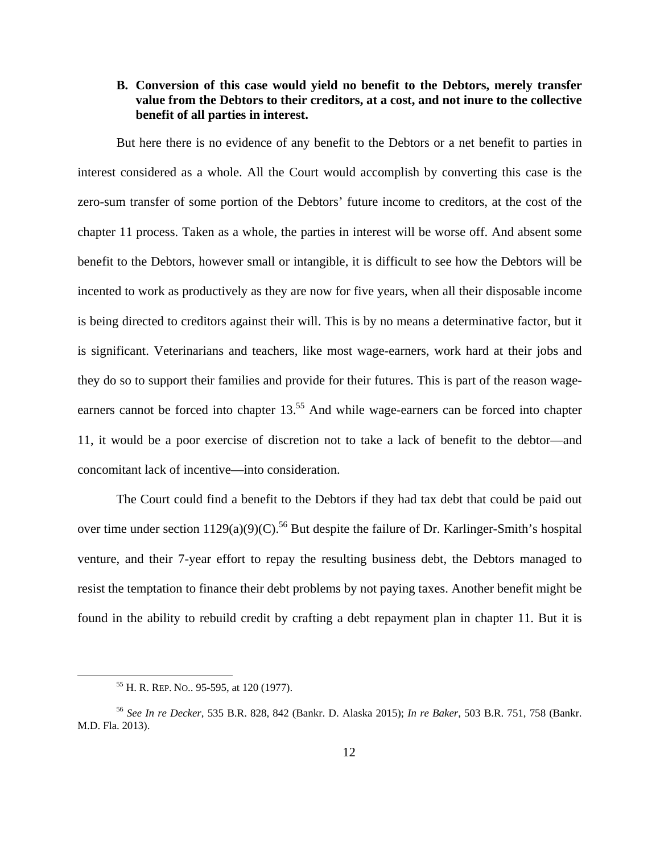# **B. Conversion of this case would yield no benefit to the Debtors, merely transfer value from the Debtors to their creditors, at a cost, and not inure to the collective benefit of all parties in interest.**

But here there is no evidence of any benefit to the Debtors or a net benefit to parties in interest considered as a whole. All the Court would accomplish by converting this case is the zero-sum transfer of some portion of the Debtors' future income to creditors, at the cost of the chapter 11 process. Taken as a whole, the parties in interest will be worse off. And absent some benefit to the Debtors, however small or intangible, it is difficult to see how the Debtors will be incented to work as productively as they are now for five years, when all their disposable income is being directed to creditors against their will. This is by no means a determinative factor, but it is significant. Veterinarians and teachers, like most wage-earners, work hard at their jobs and they do so to support their families and provide for their futures. This is part of the reason wageearners cannot be forced into chapter 13.<sup>55</sup> And while wage-earners can be forced into chapter 11, it would be a poor exercise of discretion not to take a lack of benefit to the debtor—and concomitant lack of incentive—into consideration.

The Court could find a benefit to the Debtors if they had tax debt that could be paid out over time under section  $1129(a)(9)(C)$ .<sup>56</sup> But despite the failure of Dr. Karlinger-Smith's hospital venture, and their 7-year effort to repay the resulting business debt, the Debtors managed to resist the temptation to finance their debt problems by not paying taxes. Another benefit might be found in the ability to rebuild credit by crafting a debt repayment plan in chapter 11. But it is

 55 H. R. REP. NO.. 95-595, at 120 (1977).

<sup>56</sup> *See In re Decker*, 535 B.R. 828, 842 (Bankr. D. Alaska 2015); *In re Baker*, 503 B.R. 751, 758 (Bankr. M.D. Fla. 2013).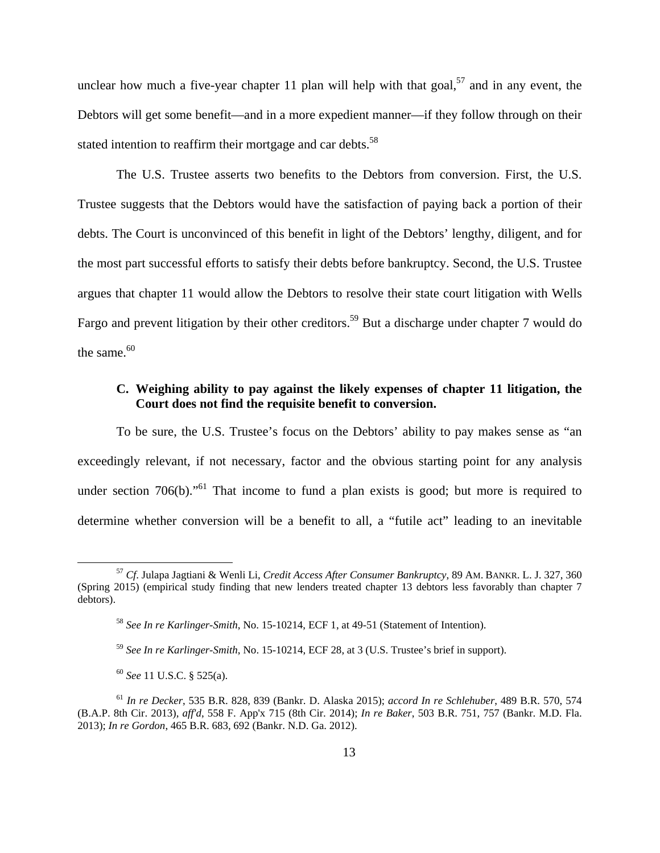unclear how much a five-year chapter 11 plan will help with that goal,<sup>57</sup> and in any event, the Debtors will get some benefit—and in a more expedient manner—if they follow through on their stated intention to reaffirm their mortgage and car debts.<sup>58</sup>

The U.S. Trustee asserts two benefits to the Debtors from conversion. First, the U.S. Trustee suggests that the Debtors would have the satisfaction of paying back a portion of their debts. The Court is unconvinced of this benefit in light of the Debtors' lengthy, diligent, and for the most part successful efforts to satisfy their debts before bankruptcy. Second, the U.S. Trustee argues that chapter 11 would allow the Debtors to resolve their state court litigation with Wells Fargo and prevent litigation by their other creditors.<sup>59</sup> But a discharge under chapter 7 would do the same. $60$ 

#### **C. Weighing ability to pay against the likely expenses of chapter 11 litigation, the Court does not find the requisite benefit to conversion.**

To be sure, the U.S. Trustee's focus on the Debtors' ability to pay makes sense as "an exceedingly relevant, if not necessary, factor and the obvious starting point for any analysis under section  $706(b)$ ."<sup>61</sup> That income to fund a plan exists is good; but more is required to determine whether conversion will be a benefit to all, a "futile act" leading to an inevitable

 <sup>57</sup> *Cf*. Julapa Jagtiani & Wenli Li, *Credit Access After Consumer Bankruptcy*, 89 AM. BANKR. L. J. 327, 360 (Spring 2015) (empirical study finding that new lenders treated chapter 13 debtors less favorably than chapter 7 debtors).

<sup>58</sup> *See In re Karlinger-Smith*, No. 15-10214, ECF 1, at 49-51 (Statement of Intention).

<sup>59</sup> *See In re Karlinger-Smith*, No. 15-10214, ECF 28, at 3 (U.S. Trustee's brief in support).

<sup>60</sup> *See* 11 U.S.C. § 525(a).

<sup>61</sup> *In re Decker*, 535 B.R. 828, 839 (Bankr. D. Alaska 2015); *accord In re Schlehuber*, 489 B.R. 570, 574 (B.A.P. 8th Cir. 2013), *aff'd*, 558 F. App'x 715 (8th Cir. 2014); *In re Baker*, 503 B.R. 751, 757 (Bankr. M.D. Fla. 2013); *In re Gordon*, 465 B.R. 683, 692 (Bankr. N.D. Ga. 2012).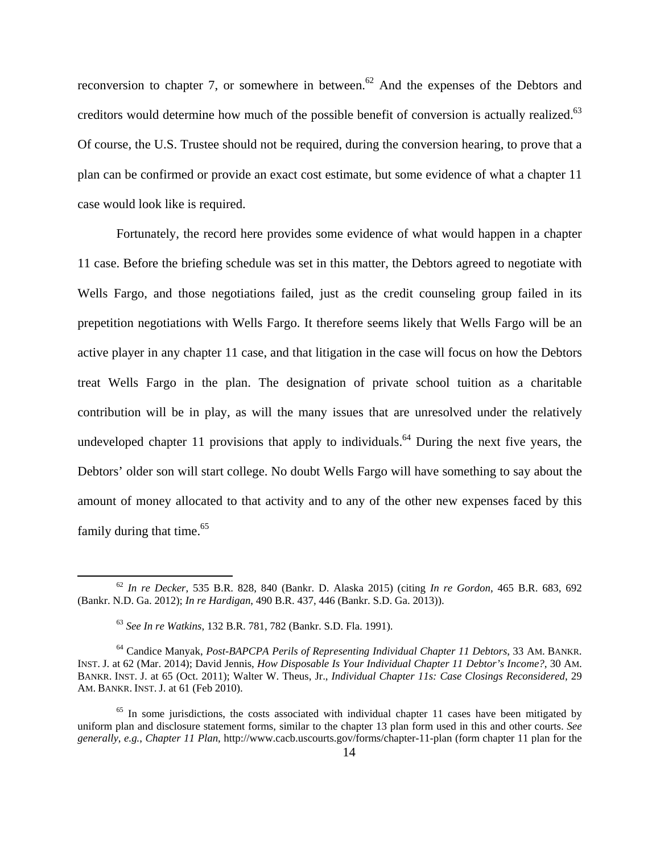reconversion to chapter 7, or somewhere in between.<sup>62</sup> And the expenses of the Debtors and creditors would determine how much of the possible benefit of conversion is actually realized.<sup>63</sup> Of course, the U.S. Trustee should not be required, during the conversion hearing, to prove that a plan can be confirmed or provide an exact cost estimate, but some evidence of what a chapter 11 case would look like is required.

Fortunately, the record here provides some evidence of what would happen in a chapter 11 case. Before the briefing schedule was set in this matter, the Debtors agreed to negotiate with Wells Fargo, and those negotiations failed, just as the credit counseling group failed in its prepetition negotiations with Wells Fargo. It therefore seems likely that Wells Fargo will be an active player in any chapter 11 case, and that litigation in the case will focus on how the Debtors treat Wells Fargo in the plan. The designation of private school tuition as a charitable contribution will be in play, as will the many issues that are unresolved under the relatively undeveloped chapter 11 provisions that apply to individuals.<sup>64</sup> During the next five years, the Debtors' older son will start college. No doubt Wells Fargo will have something to say about the amount of money allocated to that activity and to any of the other new expenses faced by this family during that time.<sup>65</sup>

 <sup>62</sup> *In re Decker*, 535 B.R. 828, 840 (Bankr. D. Alaska 2015) (citing *In re Gordon*, 465 B.R. 683, 692 (Bankr. N.D. Ga. 2012); *In re Hardigan*, 490 B.R. 437, 446 (Bankr. S.D. Ga. 2013)).

<sup>63</sup> *See In re Watkins*, 132 B.R. 781, 782 (Bankr. S.D. Fla. 1991).

<sup>64</sup> Candice Manyak, *Post-BAPCPA Perils of Representing Individual Chapter 11 Debtors*, 33 AM. BANKR. INST. J. at 62 (Mar. 2014); David Jennis, *How Disposable Is Your Individual Chapter 11 Debtor's Income?*, 30 AM. BANKR. INST. J. at 65 (Oct. 2011); Walter W. Theus, Jr., *Individual Chapter 11s: Case Closings Reconsidered*, 29 AM. BANKR. INST. J. at 61 (Feb 2010).

 $65$  In some jurisdictions, the costs associated with individual chapter 11 cases have been mitigated by uniform plan and disclosure statement forms, similar to the chapter 13 plan form used in this and other courts. *See generally*, *e.g.*, *Chapter 11 Plan*, http://www.cacb.uscourts.gov/forms/chapter-11-plan (form chapter 11 plan for the